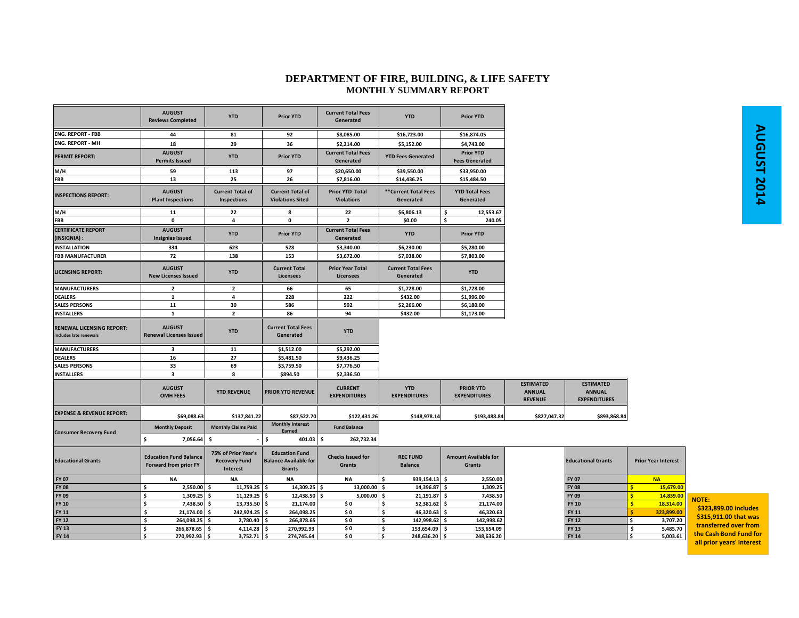## **DEPARTMENT OF FIRE, BUILDING, & LIFE SAFETY MONTHLY SUMMARY REPORT**

|                                                           | <b>AUGUST</b><br><b>Reviews Completed</b>              | <b>YTD</b>                                              | <b>Prior YTD</b>                                                | <b>Current Total Fees</b><br>Generated      | <b>YTD</b>                             | <b>Prior YTD</b>                          |                                                     |                                                          |                            |
|-----------------------------------------------------------|--------------------------------------------------------|---------------------------------------------------------|-----------------------------------------------------------------|---------------------------------------------|----------------------------------------|-------------------------------------------|-----------------------------------------------------|----------------------------------------------------------|----------------------------|
| <b>ENG. REPORT - FBB</b>                                  | 44                                                     | 81                                                      | 92                                                              | \$8,085.00                                  | \$16,723.00                            | \$16,874.05                               |                                                     |                                                          |                            |
| <b>ENG. REPORT - MH</b>                                   | 18                                                     | 29                                                      | 36                                                              | \$2,214.00                                  | \$5,152.00                             | \$4,743.00                                |                                                     |                                                          |                            |
| <b>PERMIT REPORT:</b>                                     | <b>AUGUST</b><br><b>Permits Issued</b>                 | <b>YTD</b>                                              | <b>Prior YTD</b>                                                | <b>Current Total Fees</b><br>Generated      | <b>YTD Fees Generated</b>              | <b>Prior YTD</b><br><b>Fees Generated</b> |                                                     |                                                          |                            |
| M/H                                                       | 59                                                     | 113                                                     | 97                                                              | \$20,650.00                                 | \$39,550.00                            | \$33,950.00                               |                                                     |                                                          |                            |
| <b>FBB</b>                                                | 13                                                     | 25                                                      | 26                                                              | \$7,816.00                                  | \$14,436.25                            | \$15,484.50                               |                                                     |                                                          |                            |
| <b>INSPECTIONS REPORT:</b>                                | <b>AUGUST</b><br><b>Plant Inspections</b>              | <b>Current Total of</b><br>Inspections                  | <b>Current Total of</b><br><b>Violations Sited</b>              | <b>Prior YTD Total</b><br><b>Violations</b> | **Current Total Fees<br>Generated      | <b>YTD Total Fees</b><br>Generated        |                                                     |                                                          |                            |
| M/H                                                       | 11                                                     | 22                                                      | 8                                                               | 22                                          | \$6,806.13                             | \$<br>12,553.67                           |                                                     |                                                          |                            |
| FBB                                                       | $\mathbf 0$                                            | $\overline{\mathbf{4}}$                                 | $\mathbf 0$                                                     | $\overline{2}$                              | \$0.00                                 | \$<br>240.05                              |                                                     |                                                          |                            |
| <b>CERTIFICATE REPORT</b><br>(INSIGNIA):                  | <b>AUGUST</b><br><b>Insignias Issued</b>               | <b>YTD</b>                                              | <b>Prior YTD</b>                                                | <b>Current Total Fees</b><br>Generated      | <b>YTD</b>                             | <b>Prior YTD</b>                          |                                                     |                                                          |                            |
| <b>INSTALLATION</b>                                       | 334                                                    | 623                                                     | 528                                                             | \$3,340.00                                  | \$6,230.00                             | \$5,280.00                                |                                                     |                                                          |                            |
| <b>FBB MANUFACTURER</b>                                   | 72                                                     | 138                                                     | 153                                                             | \$3,672.00                                  | \$7,038.00                             | \$7,803.00                                |                                                     |                                                          |                            |
| <b>LICENSING REPORT:</b>                                  | <b>AUGUST</b><br><b>New Licenses Issued</b>            | <b>YTD</b>                                              | <b>Current Total</b><br><b>Licensees</b>                        | <b>Prior Year Total</b><br><b>Licensees</b> | <b>Current Total Fees</b><br>Generated | <b>YTD</b>                                |                                                     |                                                          |                            |
| <b>MANUFACTURERS</b>                                      | $\overline{2}$                                         | $\overline{\mathbf{2}}$                                 | 66                                                              | 65                                          | \$1,728.00                             | \$1,728.00                                |                                                     |                                                          |                            |
| <b>DEALERS</b>                                            | 1                                                      | $\overline{\mathbf{4}}$                                 | 228                                                             | 222                                         | \$432.00                               | \$1,996.00                                |                                                     |                                                          |                            |
| <b>SALES PERSONS</b>                                      | 11                                                     | 30                                                      | 586                                                             | 592                                         | \$2,266.00                             | \$6,180.00                                |                                                     |                                                          |                            |
| <b>INSTALLERS</b>                                         | 1                                                      | $\overline{\mathbf{2}}$                                 | 86                                                              | 94                                          | \$432.00                               | \$1,173.00                                |                                                     |                                                          |                            |
| <b>RENEWAL LICENSING REPORT:</b><br>ncludes late renewals | <b>AUGUST</b><br><b>Renewal Licenses Issued</b>        | <b>YTD</b>                                              | <b>Current Total Fees</b><br>Generated                          | <b>YTD</b>                                  |                                        |                                           |                                                     |                                                          |                            |
| <b>MANUFACTURERS</b>                                      | $\overline{\mathbf{3}}$                                | 11                                                      | \$1,512.00                                                      | \$5,292.00                                  |                                        |                                           |                                                     |                                                          |                            |
| <b>DEALERS</b>                                            | 16                                                     | 27                                                      | \$5,481.50                                                      | \$9,436.25                                  |                                        |                                           |                                                     |                                                          |                            |
| <b>SALES PERSONS</b>                                      | 33                                                     | 69                                                      | \$3,759.50                                                      | \$7,776.50                                  |                                        |                                           |                                                     |                                                          |                            |
| <b>INSTALLERS</b>                                         | $\overline{\mathbf{3}}$                                | 8                                                       | \$894.50                                                        | \$2,336.50                                  |                                        |                                           |                                                     |                                                          |                            |
|                                                           | <b>AUGUST</b><br><b>OMH FEES</b>                       | <b>YTD REVENUE</b>                                      | PRIOR YTD REVENUE                                               | <b>CURRENT</b><br><b>EXPENDITURES</b>       | <b>YTD</b><br><b>EXPENDITURES</b>      | <b>PRIOR YTD</b><br><b>EXPENDITURES</b>   | <b>ESTIMATED</b><br><b>ANNUAL</b><br><b>REVENUE</b> | <b>ESTIMATED</b><br><b>ANNUAL</b><br><b>EXPENDITURES</b> |                            |
| <b>EXPENSE &amp; REVENUE REPORT:</b>                      | \$69,088.63                                            | \$137,841.22                                            | \$87,522.70                                                     | \$122,431.26                                | \$148,978.14                           | \$193,488.84                              | \$827,047.32                                        | \$893,868.84                                             |                            |
| <b>Consumer Recovery Fund</b>                             | <b>Monthly Deposit</b>                                 | <b>Monthly Claims Paid</b>                              | <b>Monthly Interest</b><br>Earned                               | <b>Fund Balance</b>                         |                                        |                                           |                                                     |                                                          |                            |
|                                                           | \$<br>7,056.64                                         | -\$                                                     | \$<br>$401.03$ \$                                               | 262,732.34                                  |                                        |                                           |                                                     |                                                          |                            |
| <b>Educational Grants</b>                                 | <b>Education Fund Balance</b><br>Forward from prior FY | 75% of Prior Year's<br><b>Recovery Fund</b><br>Interest | <b>Education Fund</b><br><b>Balance Available for</b><br>Grants | <b>Checks Issued for</b><br>Grants          | <b>REC FUND</b><br><b>Balance</b>      | <b>Amount Available for</b><br>Grants     |                                                     | <b>Educational Grants</b>                                | <b>Prior Year Interest</b> |
| <b>FY 07</b>                                              | <b>NA</b>                                              | <b>NA</b>                                               | <b>NA</b>                                                       | <b>NA</b>                                   | \$<br>939,154.13 \$                    | 2,550.00                                  |                                                     | <b>FY 07</b>                                             | <b>NA</b>                  |
| <b>FY 08</b>                                              | 2,550.00<br>\$                                         | $11,759.25$ \$<br>\$                                    | 14,309.25 \$                                                    | 13,000.00 \$                                | 14,396.87 \$                           | 1,309.25                                  |                                                     | <b>FY 08</b>                                             | 15,679.00<br>ŝ             |
| FY 09                                                     | $1,309.25$ \$<br>\$                                    | $11,129.25$ \$                                          | 12,438.50 \$                                                    | $5,000.00$ \$                               | 21,191.87 \$                           | 7,438.50                                  |                                                     | FY 09                                                    | 14,839.00<br>Ŝ             |
| <b>FY 10</b>                                              | \$<br>7,438.50                                         | 13,735.50 \$<br>-\$                                     | 21,174.00                                                       | \$0                                         | \$<br>52,381.62 \$                     | 21,174.00                                 |                                                     | <b>FY 10</b>                                             | 18,314.00                  |
| FY 11                                                     | \$<br>21,174.00                                        | \$<br>242,924.25                                        | 264,098.25<br>\$                                                | \$0                                         | Ś<br>46,320.63 \$                      | 46,320.63                                 |                                                     | FY 11                                                    | 323,899.00                 |
| <b>FY 12</b>                                              | \$<br>264,098.25                                       | 2,780.40<br>\$                                          | 266,878.65<br>\$.                                               | \$0                                         | \$<br>142,998.62                       | 142,998.62<br>\$.                         |                                                     | <b>FY 12</b>                                             | Ś<br>3,707.20              |
| <b>FY 13</b>                                              | \$<br>266,878.65                                       | Ŝ.<br>4,114.28                                          | 270,992.93<br>Ŝ.                                                | \$0                                         | \$<br>153,654.09                       | 153,654.09<br>- Ś                         |                                                     | FY 13                                                    | \$<br>5,485.70             |
| <b>FY 14</b>                                              | \$<br>270,992.93 \$                                    | $3,752.71$ \$                                           | 274,745.64                                                      | \$0                                         | 5<br>248,636.20 \$                     | 248,636.20                                |                                                     | FY 14                                                    | \$<br>5,003.61             |

**NOTE: \$323,899.00 includes**

**\$315,911.00 that was transferred over fromthe Cash Bond Fund for**

**all prior years' interest**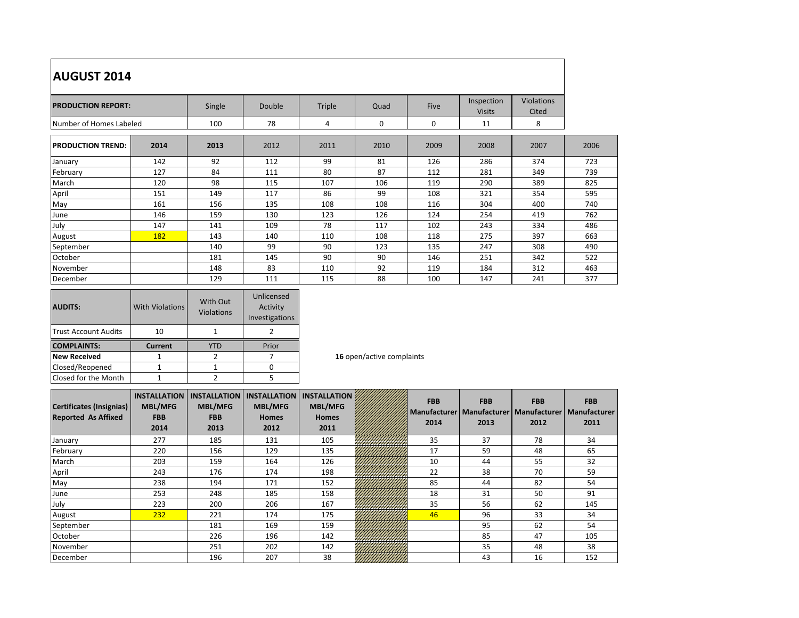| <b>AUGUST 2014</b>        |      |        |               |        |      |      |                             |                     |      |
|---------------------------|------|--------|---------------|--------|------|------|-----------------------------|---------------------|------|
| <b>PRODUCTION REPORT:</b> |      | Single | <b>Double</b> | Triple | Quad | Five | Inspection<br><b>Visits</b> | Violations<br>Cited |      |
| Number of Homes Labeled   |      | 100    | 78            | 4      | 0    | 0    | 11                          | 8                   |      |
| <b>PRODUCTION TREND:</b>  | 2014 | 2013   | 2012          | 2011   | 2010 | 2009 | 2008                        | 2007                | 2006 |
| January                   | 142  | 92     | 112           | 99     | 81   | 126  | 286                         | 374                 | 723  |
| February                  | 127  | 84     | 111           | 80     | 87   | 112  | 281                         | 349                 | 739  |
| March                     | 120  | 98     | 115           | 107    | 106  | 119  | 290                         | 389                 | 825  |
| April                     | 151  | 149    | 117           | 86     | 99   | 108  | 321                         | 354                 | 595  |
| May                       | 161  | 156    | 135           | 108    | 108  | 116  | 304                         | 400                 | 740  |
| June                      | 146  | 159    | 130           | 123    | 126  | 124  | 254                         | 419                 | 762  |
| July                      | 147  | 141    | 109           | 78     | 117  | 102  | 243                         | 334                 | 486  |
| August                    | 182  | 143    | 140           | 110    | 108  | 118  | 275                         | 397                 | 663  |
| September                 |      | 140    | 99            | 90     | 123  | 135  | 247                         | 308                 | 490  |
| October                   |      | 181    | 145           | 90     | 90   | 146  | 251                         | 342                 | 522  |
| November                  |      | 148    | 83            | 110    | 92   | 119  | 184                         | 312                 | 463  |
| December                  |      | 129    | 111           | 115    | 88   | 100  | 147                         | 241                 | 377  |

| <b>AUDITS:</b>              | <b>With Violations</b> | With Out<br><b>Violations</b> | Unlicensed<br>Activity<br>Investigations |  |  |
|-----------------------------|------------------------|-------------------------------|------------------------------------------|--|--|
| <b>Trust Account Audits</b> | 10                     |                               |                                          |  |  |
|                             |                        |                               |                                          |  |  |
| <b>COMPLAINTS:</b>          | <b>Current</b>         | /TD                           | Prior                                    |  |  |
| <b>New Received</b>         |                        |                               |                                          |  |  |
| Closed/Reopened             |                        |                               |                                          |  |  |

**16** open/active complaints

| Certificates (Insignias)<br><b>Reported As Affixed</b> | <b>INSTALLATION</b><br><b>MBL/MFG</b><br><b>FBB</b><br>2014 | <b>INSTALLATION</b><br><b>MBL/MFG</b><br><b>FBB</b><br>2013 | <b>INSTALLATION</b><br><b>MBL/MFG</b><br><b>Homes</b><br>2012 | <b>INSTALLATION</b><br><b>MBL/MFG</b><br><b>Homes</b><br>2011 |  |  | <b>FBB</b><br><b>Manufacturer</b><br>2014 | <b>FBB</b><br>2013 | <b>FBB</b><br>Manufacturer   Manufacturer   Manufacturer<br>2012 | <b>FBB</b><br>2011 |
|--------------------------------------------------------|-------------------------------------------------------------|-------------------------------------------------------------|---------------------------------------------------------------|---------------------------------------------------------------|--|--|-------------------------------------------|--------------------|------------------------------------------------------------------|--------------------|
| January                                                | 277                                                         | 185                                                         | 131                                                           | 105                                                           |  |  | 35                                        | 37                 | 78                                                               | 34                 |
| February                                               | 220                                                         | 156                                                         | 129                                                           | 135                                                           |  |  | 17                                        | 59                 | 48                                                               | 65                 |
| March                                                  | 203                                                         | 159                                                         | 164                                                           | 126                                                           |  |  | 10                                        | 44                 | 55                                                               | 32                 |
| April                                                  | 243                                                         | 176                                                         | 174                                                           | 198                                                           |  |  | 22                                        | 38                 | 70                                                               | 59                 |
| May                                                    | 238                                                         | 194                                                         | 171                                                           | 152                                                           |  |  | 85                                        | 44                 | 82                                                               | 54                 |
| June                                                   | 253                                                         | 248                                                         | 185                                                           | 158                                                           |  |  | 18                                        | 31                 | 50                                                               | 91                 |
| July                                                   | 223                                                         | 200                                                         | 206                                                           | 167                                                           |  |  | 35                                        | 56                 | 62                                                               | 145                |
| August                                                 | 232                                                         | 221                                                         | 174                                                           | 175                                                           |  |  | 46                                        | 96                 | 33                                                               | 34                 |
| September                                              |                                                             | 181                                                         | 169                                                           | 159                                                           |  |  |                                           | 95                 | 62                                                               | 54                 |
| October                                                |                                                             | 226                                                         | 196                                                           | 142                                                           |  |  |                                           | 85                 | 47                                                               | 105                |
| November                                               |                                                             | 251                                                         | 202                                                           | 142                                                           |  |  |                                           | 35                 | 48                                                               | 38                 |
| December                                               |                                                             | 196                                                         | 207                                                           | 38                                                            |  |  |                                           | 43                 | 16                                                               | 152                |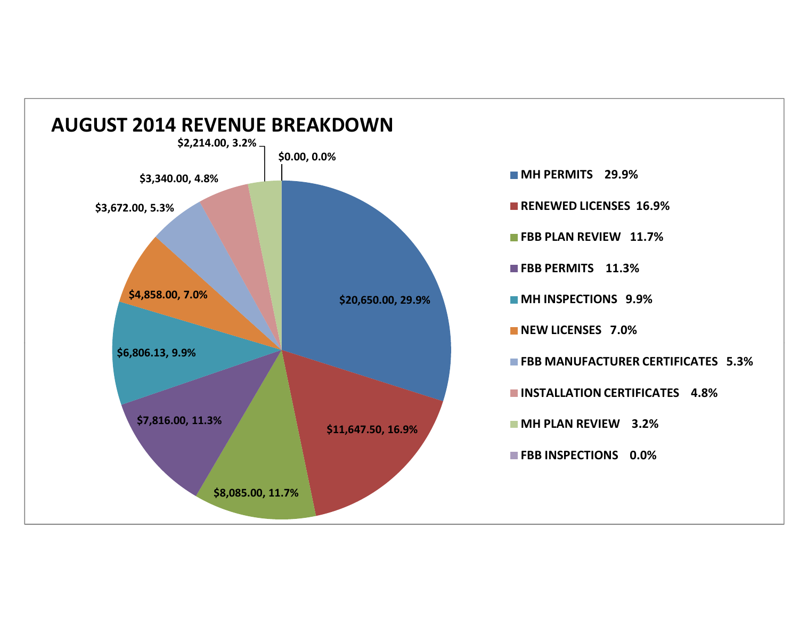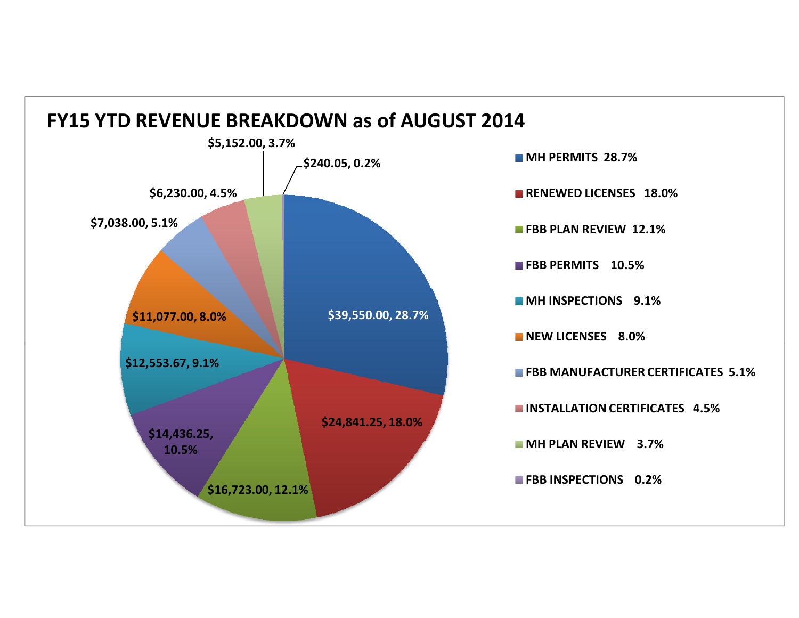